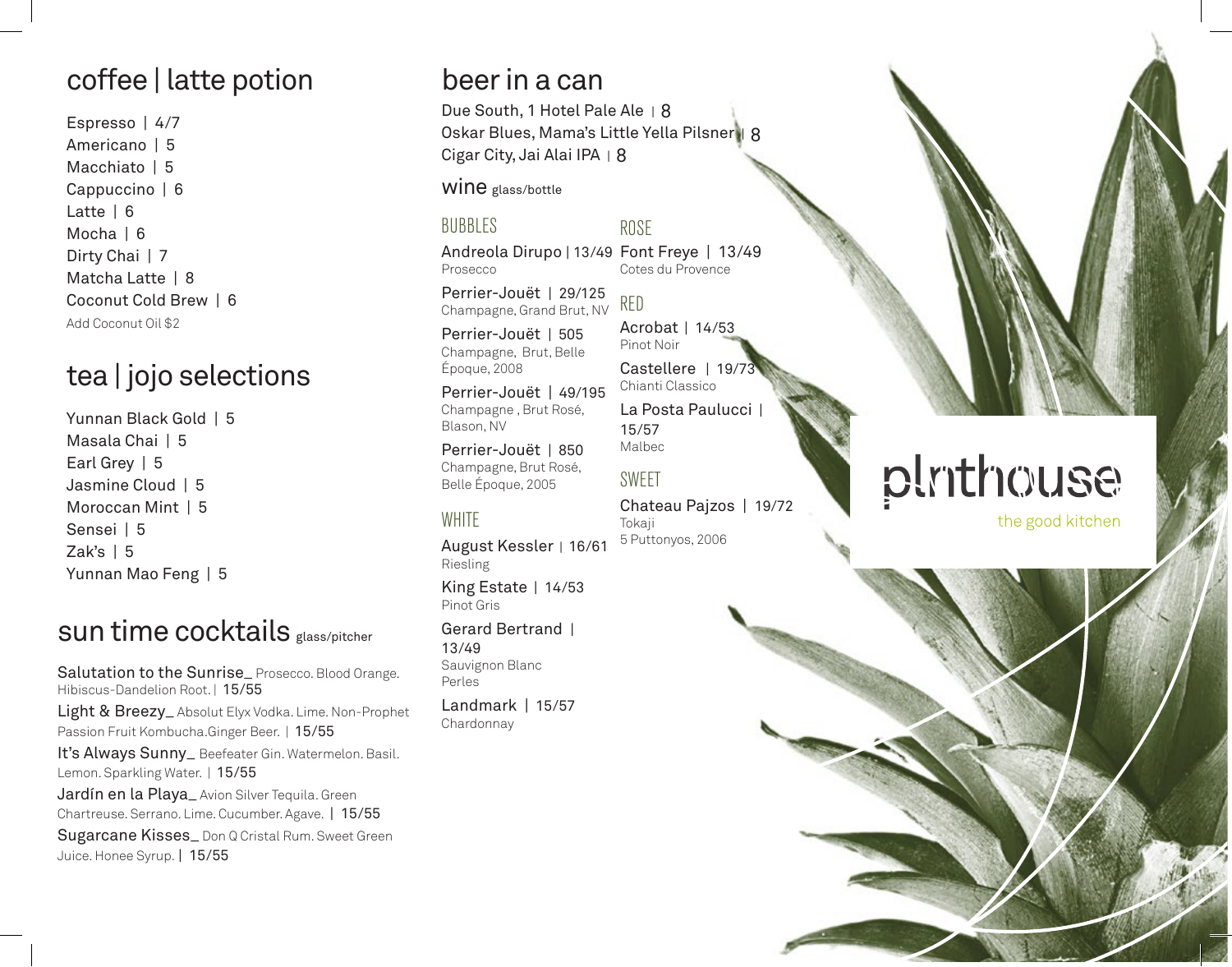## coffee | latte potion

Espresso | 4/7 Americano | 5 Macchiato | 5 Cappuccino | 6 Latte | 6 Mocha | 6 Dirty Chai | 7 Matcha Latte | 8 Coconut Cold Brew | 6 Add Coconut Oil \$2

#### tea | jojo selections

Yunnan Black Gold | 5 Masala Chai | 5 Earl Grey | 5 Jasmine Cloud | 5 Moroccan Mint | 5 Sensei | 5 Zak's  $| 5$ Yunnan Mao Feng | 5

#### sun time cocktails glass/pitcher

Salutation to the Sunrise\_Prosecco. Blood Orange. Hibiscus-Dandelion Root. | 15/55 Light & Breezy\_Absolut Elyx Vodka. Lime. Non-Prophet Passion Fruit Kombucha.Ginger Beer. | 15/55

It's Always Sunny\_ Beefeater Gin. Watermelon. Basil. Lemon. Sparkling Water. | 15/55

Jardín en la Playa\_ Avion Silver Tequila. Green Chartreuse. Serrano. Lime. Cucumber. Agave. | 15/55

Sugarcane Kisses\_ Don Q Cristal Rum. Sweet Green Juice. Honee Syrup. | 15/55

#### beer in a can

Due South, 1 Hotel Pale Ale | 8 Oskar Blues, Mama's Little Yella Pilsner | 8 Cigar City, Jai Alai IPA | 8

WINE glass/bottle

#### BUBBLES

Andreola Dirupo | 13/49 Font Freye | 13/49 Cotes du Provence Prosecco

ROSE

RED

Perrier-Jouët | 29/125 Champagne, Grand Brut, NV

Perrier-Jouët | 505 Champagne, Brut, Belle Époque, 2008

Perrier-Jouët | 49/195 Champagne , Brut Rosé, Blason, NV

Perrier-Jouët | 850 Champagne, Brut Rosé, Belle Époque, 2005

#### **WHITE**

August Kessler | 16/61 Riesling

King Estate | 14/53 Pinot Gris

Gerard Bertrand | 13/49 Sauvignon Blanc Perles

Landmark | 15/57 Chardonnay

Acrobat | 14/53 Pinot Noir Castellere | 19/7 Chianti Classico La Posta Paulucci 15/57 Malbec

SWEET

Chateau Pajzos | 19/72 Tokaji 5 Puttonyos, 2006

# plrithouse

the good kitchen